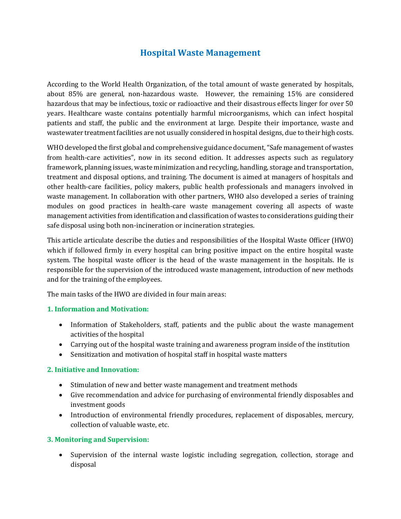# **Hospital Waste Management**

According to the World Health Organization, of the total amount of waste generated by hospitals, about 85% are general, non-hazardous waste. However, the remaining 15% are considered hazardous that may be infectious, toxic or radioactive and their disastrous effects linger for over 50 years. Healthcare waste contains potentially harmful microorganisms, which can infect hospital patients and staff, the public and the environment at large. Despite their importance, waste and wastewater treatment facilities are not usually considered in hospital designs, due to their high costs.

WHO developed the first global and comprehensive guidance document, "Safe management of wastes from health-care activities", now in its second edition. It addresses aspects such as regulatory framework, planning issues, waste minimization and recycling, handling, storage and transportation, treatment and disposal options, and training. The document is aimed at managers of hospitals and other health-care facilities, policy makers, public health professionals and managers involved in waste management. In collaboration with other partners, WHO also developed a series of training modules on good practices in health-care waste management covering all aspects of waste management activities from identification and classification of wastes to considerations guiding their safe disposal using both non-incineration or incineration strategies.

This article articulate describe the duties and responsibilities of the Hospital Waste Officer (HWO) which if followed firmly in every hospital can bring positive impact on the entire hospital waste system. The hospital waste officer is the head of the waste management in the hospitals. He is responsible for the supervision of the introduced waste management, introduction of new methods and for the training of the employees.

The main tasks of the HWO are divided in four main areas:

#### **1. Information and Motivation:**

- Information of Stakeholders, staff, patients and the public about the waste management activities of the hospital
- Carrying out of the hospital waste training and awareness program inside of the institution
- Sensitization and motivation of hospital staff in hospital waste matters

### **2. Initiative and Innovation:**

- Stimulation of new and better waste management and treatment methods
- Give recommendation and advice for purchasing of environmental friendly disposables and investment goods
- Introduction of environmental friendly procedures, replacement of disposables, mercury, collection of valuable waste, etc.

### **3. Monitoring and Supervision:**

• Supervision of the internal waste logistic including segregation, collection, storage and disposal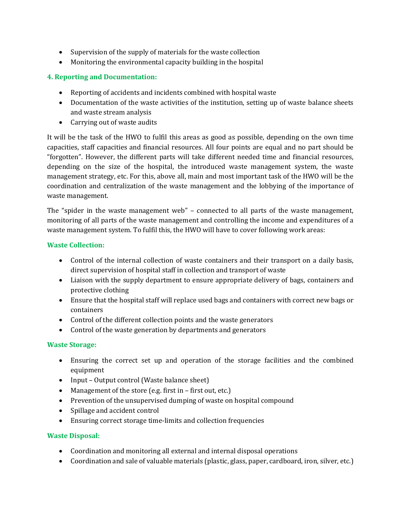- Supervision of the supply of materials for the waste collection
- Monitoring the environmental capacity building in the hospital

# **4. Reporting and Documentation:**

- Reporting of accidents and incidents combined with hospital waste
- Documentation of the waste activities of the institution, setting up of waste balance sheets and waste stream analysis
- Carrying out of waste audits

It will be the task of the HWO to fulfil this areas as good as possible, depending on the own time capacities, staff capacities and financial resources. All four points are equal and no part should be "forgotten". However, the different parts will take different needed time and financial resources, depending on the size of the hospital, the introduced waste management system, the waste management strategy, etc. For this, above all, main and most important task of the HWO will be the coordination and centralization of the waste management and the lobbying of the importance of waste management.

The "spider in the waste management web" – connected to all parts of the waste management, monitoring of all parts of the waste management and controlling the income and expenditures of a waste management system. To fulfil this, the HWO will have to cover following work areas:

### **Waste Collection:**

- Control of the internal collection of waste containers and their transport on a daily basis, direct supervision of hospital staff in collection and transport of waste
- Liaison with the supply department to ensure appropriate delivery of bags, containers and protective clothing
- Ensure that the hospital staff will replace used bags and containers with correct new bags or containers
- Control of the different collection points and the waste generators
- Control of the waste generation by departments and generators

### **Waste Storage:**

- Ensuring the correct set up and operation of the storage facilities and the combined equipment
- Input Output control (Waste balance sheet)
- Management of the store (e.g. first in first out, etc.)
- Prevention of the unsupervised dumping of waste on hospital compound
- Spillage and accident control
- Ensuring correct storage time-limits and collection frequencies

### **Waste Disposal:**

- Coordination and monitoring all external and internal disposal operations
- Coordination and sale of valuable materials (plastic, glass, paper, cardboard, iron, silver, etc.)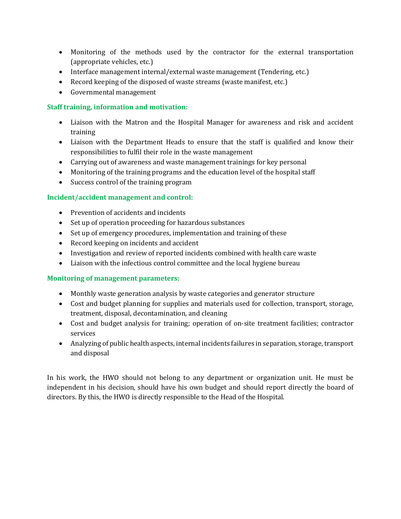- Monitoring of the methods used by the contractor for the external transportation (appropriate vehicles, etc.)
- Interface management internal/external waste management (Tendering, etc.)
- Record keeping of the disposed of waste streams (waste manifest, etc.)
- Governmental management

## **Staff training, information and motivation:**

- Liaison with the Matron and the Hospital Manager for awareness and risk and accident training
- Liaison with the Department Heads to ensure that the staff is qualified and know their responsibilities to fulfil their role in the waste management
- Carrying out of awareness and waste management trainings for key personal
- Monitoring of the training programs and the education level of the hospital staff
- Success control of the training program

### **Incident/accident management and control:**

- Prevention of accidents and incidents
- Set up of operation proceeding for hazardous substances
- Set up of emergency procedures, implementation and training of these
- Record keeping on incidents and accident
- Investigation and review of reported incidents combined with health care waste
- Liaison with the infectious control committee and the local hygiene bureau

### **Monitoring of management parameters:**

- Monthly waste generation analysis by waste categories and generator structure
- Cost and budget planning for supplies and materials used for collection, transport, storage, treatment, disposal, decontamination, and cleaning
- Cost and budget analysis for training; operation of on-site treatment facilities; contractor services
- Analyzing of public health aspects, internal incidents failures in separation, storage, transport and disposal

In his work, the HWO should not belong to any department or organization unit. He must be independent in his decision, should have his own budget and should report directly the board of directors. By this, the HWO is directly responsible to the Head of the Hospital.